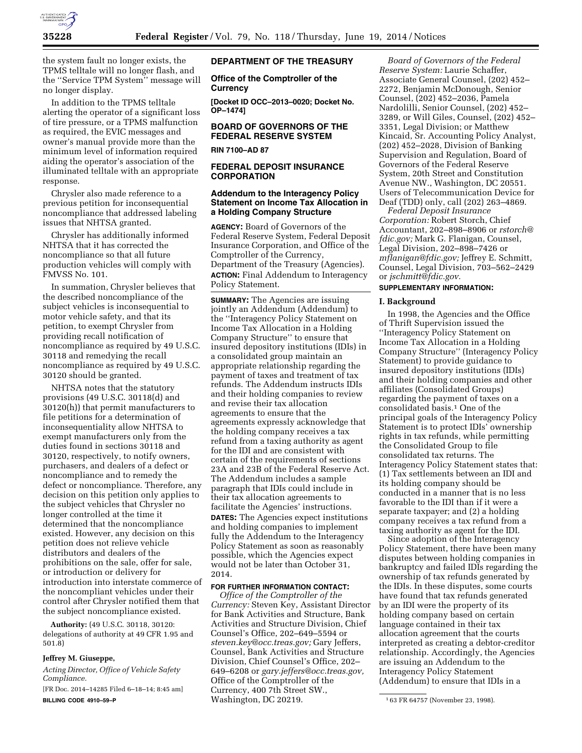

the system fault no longer exists, the TPMS telltale will no longer flash, and the ''Service TPM System'' message will no longer display.

In addition to the TPMS telltale alerting the operator of a significant loss of tire pressure, or a TPMS malfunction as required, the EVIC messages and owner's manual provide more than the minimum level of information required aiding the operator's association of the illuminated telltale with an appropriate response.

Chrysler also made reference to a previous petition for inconsequential noncompliance that addressed labeling issues that NHTSA granted.

Chrysler has additionally informed NHTSA that it has corrected the noncompliance so that all future production vehicles will comply with FMVSS No. 101.

In summation, Chrysler believes that the described noncompliance of the subject vehicles is inconsequential to motor vehicle safety, and that its petition, to exempt Chrysler from providing recall notification of noncompliance as required by 49 U.S.C. 30118 and remedying the recall noncompliance as required by 49 U.S.C. 30120 should be granted.

NHTSA notes that the statutory provisions (49 U.S.C. 30118(d) and 30120(h)) that permit manufacturers to file petitions for a determination of inconsequentiality allow NHTSA to exempt manufacturers only from the duties found in sections 30118 and 30120, respectively, to notify owners, purchasers, and dealers of a defect or noncompliance and to remedy the defect or noncompliance. Therefore, any decision on this petition only applies to the subject vehicles that Chrysler no longer controlled at the time it determined that the noncompliance existed. However, any decision on this petition does not relieve vehicle distributors and dealers of the prohibitions on the sale, offer for sale, or introduction or delivery for introduction into interstate commerce of the noncompliant vehicles under their control after Chrysler notified them that the subject noncompliance existed.

**Authority:** (49 U.S.C. 30118, 30120: delegations of authority at 49 CFR 1.95 and 501.8)

# **Jeffrey M. Giuseppe,**

*Acting Director, Office of Vehicle Safety Compliance.* 

[FR Doc. 2014–14285 Filed 6–18–14; 8:45 am] **BILLING CODE 4910–59–P** 

### **DEPARTMENT OF THE TREASURY**

**Office of the Comptroller of the Currency** 

**[Docket ID OCC–2013–0020; Docket No. OP–1474]** 

## **BOARD OF GOVERNORS OF THE FEDERAL RESERVE SYSTEM**

### **RIN 7100–AD 87**

# **FEDERAL DEPOSIT INSURANCE CORPORATION**

## **Addendum to the Interagency Policy Statement on Income Tax Allocation in a Holding Company Structure**

**AGENCY:** Board of Governors of the Federal Reserve System, Federal Deposit Insurance Corporation, and Office of the Comptroller of the Currency, Department of the Treasury (Agencies). **ACTION:** Final Addendum to Interagency Policy Statement.

**SUMMARY:** The Agencies are issuing jointly an Addendum (Addendum) to the ''Interagency Policy Statement on Income Tax Allocation in a Holding Company Structure'' to ensure that insured depository institutions (IDIs) in a consolidated group maintain an appropriate relationship regarding the payment of taxes and treatment of tax refunds. The Addendum instructs IDIs and their holding companies to review and revise their tax allocation agreements to ensure that the agreements expressly acknowledge that the holding company receives a tax refund from a taxing authority as agent for the IDI and are consistent with certain of the requirements of sections 23A and 23B of the Federal Reserve Act. The Addendum includes a sample paragraph that IDIs could include in their tax allocation agreements to facilitate the Agencies' instructions. **DATES:** The Agencies expect institutions

and holding companies to implement fully the Addendum to the Interagency Policy Statement as soon as reasonably possible, which the Agencies expect would not be later than October 31, 2014.

### **FOR FURTHER INFORMATION CONTACT:**

*Office of the Comptroller of the Currency:* Steven Key, Assistant Director for Bank Activities and Structure, Bank Activities and Structure Division, Chief Counsel's Office, 202–649–5594 or *[steven.key@occ.treas.gov;](mailto:steven.key@occ.treas.gov)* Gary Jeffers, Counsel, Bank Activities and Structure Division, Chief Counsel's Office, 202– 649–6208 or *[gary.jeffers@occ.treas.gov,](mailto:gary.jeffers@occ.treas.gov)*  Office of the Comptroller of the Currency, 400 7th Street SW., Washington, DC 20219.

*Board of Governors of the Federal Reserve System:* Laurie Schaffer, Associate General Counsel, (202) 452– 2272, Benjamin McDonough, Senior Counsel, (202) 452–2036, Pamela Nardolilli, Senior Counsel, (202) 452– 3289, or Will Giles, Counsel, (202) 452– 3351, Legal Division; or Matthew Kincaid, Sr. Accounting Policy Analyst, (202) 452–2028, Division of Banking Supervision and Regulation, Board of Governors of the Federal Reserve System, 20th Street and Constitution Avenue NW., Washington, DC 20551. Users of Telecommunication Device for Deaf (TDD) only, call (202) 263–4869.

*Federal Deposit Insurance Corporation:* Robert Storch, Chief Accountant, 202–898–8906 or *[rstorch@](mailto:rstorch@fdic.gov) [fdic.gov;](mailto:rstorch@fdic.gov)* Mark G. Flanigan, Counsel, Legal Division, 202–898–7426 or *[mflanigan@fdic.gov;](mailto:mflanigan@fdic.gov)* Jeffrey E. Schmitt, Counsel, Legal Division, 703–562–2429 or *[jschmitt@fdic.gov.](mailto:jschmitt@fdic.gov)* 

# **SUPPLEMENTARY INFORMATION:**

## **I. Background**

In 1998, the Agencies and the Office of Thrift Supervision issued the ''Interagency Policy Statement on Income Tax Allocation in a Holding Company Structure'' (Interagency Policy Statement) to provide guidance to insured depository institutions (IDIs) and their holding companies and other affiliates (Consolidated Groups) regarding the payment of taxes on a consolidated basis.<sup>1</sup> One of the principal goals of the Interagency Policy Statement is to protect IDIs' ownership rights in tax refunds, while permitting the Consolidated Group to file consolidated tax returns. The Interagency Policy Statement states that: (1) Tax settlements between an IDI and its holding company should be conducted in a manner that is no less favorable to the IDI than if it were a separate taxpayer; and (2) a holding company receives a tax refund from a taxing authority as agent for the IDI.

Since adoption of the Interagency Policy Statement, there have been many disputes between holding companies in bankruptcy and failed IDIs regarding the ownership of tax refunds generated by the IDIs. In these disputes, some courts have found that tax refunds generated by an IDI were the property of its holding company based on certain language contained in their tax allocation agreement that the courts interpreted as creating a debtor-creditor relationship. Accordingly, the Agencies are issuing an Addendum to the Interagency Policy Statement (Addendum) to ensure that IDIs in a

<sup>1</sup> 63 FR 64757 (November 23, 1998).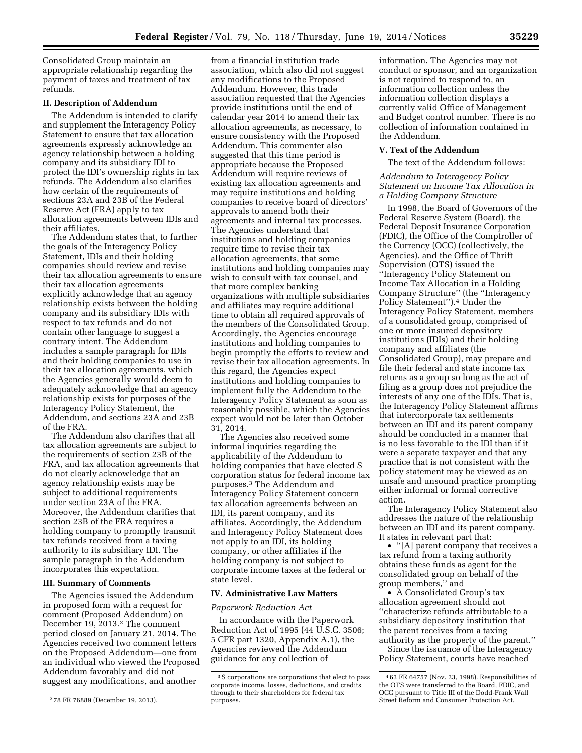Consolidated Group maintain an appropriate relationship regarding the payment of taxes and treatment of tax refunds.

#### **II. Description of Addendum**

The Addendum is intended to clarify and supplement the Interagency Policy Statement to ensure that tax allocation agreements expressly acknowledge an agency relationship between a holding company and its subsidiary IDI to protect the IDI's ownership rights in tax refunds. The Addendum also clarifies how certain of the requirements of sections 23A and 23B of the Federal Reserve Act (FRA) apply to tax allocation agreements between IDIs and their affiliates.

The Addendum states that, to further the goals of the Interagency Policy Statement, IDIs and their holding companies should review and revise their tax allocation agreements to ensure their tax allocation agreements explicitly acknowledge that an agency relationship exists between the holding company and its subsidiary IDIs with respect to tax refunds and do not contain other language to suggest a contrary intent. The Addendum includes a sample paragraph for IDIs and their holding companies to use in their tax allocation agreements, which the Agencies generally would deem to adequately acknowledge that an agency relationship exists for purposes of the Interagency Policy Statement, the Addendum, and sections 23A and 23B of the FRA.

The Addendum also clarifies that all tax allocation agreements are subject to the requirements of section 23B of the FRA, and tax allocation agreements that do not clearly acknowledge that an agency relationship exists may be subject to additional requirements under section 23A of the FRA. Moreover, the Addendum clarifies that section 23B of the FRA requires a holding company to promptly transmit tax refunds received from a taxing authority to its subsidiary IDI. The sample paragraph in the Addendum incorporates this expectation.

#### **III. Summary of Comments**

The Agencies issued the Addendum in proposed form with a request for comment (Proposed Addendum) on December 19, 2013.<sup>2</sup> The comment period closed on January 21, 2014. The Agencies received two comment letters on the Proposed Addendum—one from an individual who viewed the Proposed Addendum favorably and did not suggest any modifications, and another

from a financial institution trade association, which also did not suggest any modifications to the Proposed Addendum. However, this trade association requested that the Agencies provide institutions until the end of calendar year 2014 to amend their tax allocation agreements, as necessary, to ensure consistency with the Proposed Addendum. This commenter also suggested that this time period is appropriate because the Proposed Addendum will require reviews of existing tax allocation agreements and may require institutions and holding companies to receive board of directors' approvals to amend both their agreements and internal tax processes. The Agencies understand that institutions and holding companies require time to revise their tax allocation agreements, that some institutions and holding companies may wish to consult with tax counsel, and that more complex banking organizations with multiple subsidiaries and affiliates may require additional time to obtain all required approvals of the members of the Consolidated Group. Accordingly, the Agencies encourage institutions and holding companies to begin promptly the efforts to review and revise their tax allocation agreements. In this regard, the Agencies expect institutions and holding companies to implement fully the Addendum to the Interagency Policy Statement as soon as reasonably possible, which the Agencies expect would not be later than October 31, 2014.

The Agencies also received some informal inquiries regarding the applicability of the Addendum to holding companies that have elected S corporation status for federal income tax purposes.3 The Addendum and Interagency Policy Statement concern tax allocation agreements between an IDI, its parent company, and its affiliates. Accordingly, the Addendum and Interagency Policy Statement does not apply to an IDI, its holding company, or other affiliates if the holding company is not subject to corporate income taxes at the federal or state level.

#### **IV. Administrative Law Matters**

#### *Paperwork Reduction Act*

In accordance with the Paperwork Reduction Act of 1995 (44 U.S.C. 3506; 5 CFR part 1320, Appendix A.1), the Agencies reviewed the Addendum guidance for any collection of

information. The Agencies may not conduct or sponsor, and an organization is not required to respond to, an information collection unless the information collection displays a currently valid Office of Management and Budget control number. There is no collection of information contained in the Addendum.

### **V. Text of the Addendum**

The text of the Addendum follows:

### *Addendum to Interagency Policy Statement on Income Tax Allocation in a Holding Company Structure*

In 1998, the Board of Governors of the Federal Reserve System (Board), the Federal Deposit Insurance Corporation (FDIC), the Office of the Comptroller of the Currency (OCC) (collectively, the Agencies), and the Office of Thrift Supervision (OTS) issued the ''Interagency Policy Statement on Income Tax Allocation in a Holding Company Structure'' (the ''Interagency Policy Statement'').4 Under the Interagency Policy Statement, members of a consolidated group, comprised of one or more insured depository institutions (IDIs) and their holding company and affiliates (the Consolidated Group), may prepare and file their federal and state income tax returns as a group so long as the act of filing as a group does not prejudice the interests of any one of the IDIs. That is, the Interagency Policy Statement affirms that intercorporate tax settlements between an IDI and its parent company should be conducted in a manner that is no less favorable to the IDI than if it were a separate taxpayer and that any practice that is not consistent with the policy statement may be viewed as an unsafe and unsound practice prompting either informal or formal corrective action.

The Interagency Policy Statement also addresses the nature of the relationship between an IDI and its parent company. It states in relevant part that:

• ''[A] parent company that receives a tax refund from a taxing authority obtains these funds as agent for the consolidated group on behalf of the group members,'' and

• A Consolidated Group's tax allocation agreement should not ''characterize refunds attributable to a subsidiary depository institution that the parent receives from a taxing authority as the property of the parent.''

Since the issuance of the Interagency Policy Statement, courts have reached

<sup>2</sup> 78 FR 76889 (December 19, 2013).

<sup>3</sup>S corporations are corporations that elect to pass corporate income, losses, deductions, and credits through to their shareholders for federal tax purposes.

<sup>4</sup> 63 FR 64757 (Nov. 23, 1998). Responsibilities of the OTS were transferred to the Board, FDIC, and OCC pursuant to Title III of the Dodd-Frank Wall Street Reform and Consumer Protection Act.